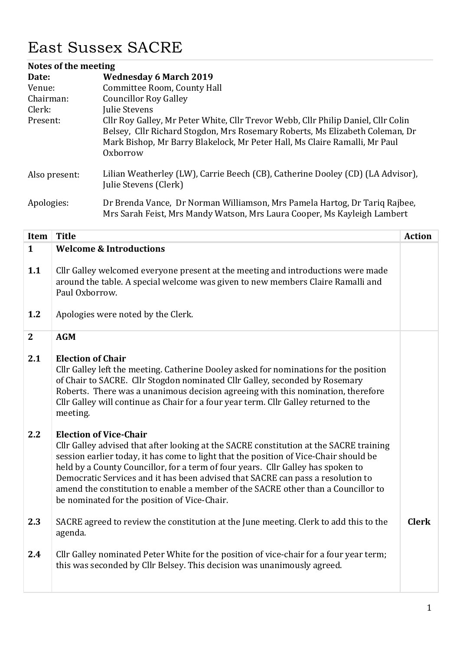## East Sussex SACRE

| Notes of the meeting |                                                                                                                                                                                                                                                             |  |
|----------------------|-------------------------------------------------------------------------------------------------------------------------------------------------------------------------------------------------------------------------------------------------------------|--|
| Date:                | <b>Wednesday 6 March 2019</b>                                                                                                                                                                                                                               |  |
| Venue:               | Committee Room, County Hall                                                                                                                                                                                                                                 |  |
| Chairman:            | <b>Councillor Roy Galley</b>                                                                                                                                                                                                                                |  |
| Clerk:               | Julie Stevens                                                                                                                                                                                                                                               |  |
| Present:             | Cllr Roy Galley, Mr Peter White, Cllr Trevor Webb, Cllr Philip Daniel, Cllr Colin<br>Belsey, Cllr Richard Stogdon, Mrs Rosemary Roberts, Ms Elizabeth Coleman, Dr<br>Mark Bishop, Mr Barry Blakelock, Mr Peter Hall, Ms Claire Ramalli, Mr Paul<br>Oxborrow |  |
| Also present:        | Lilian Weatherley (LW), Carrie Beech (CB), Catherine Dooley (CD) (LA Advisor),<br>Julie Stevens (Clerk)                                                                                                                                                     |  |
| Apologies:           | Dr Brenda Vance, Dr Norman Williamson, Mrs Pamela Hartog, Dr Tariq Rajbee,<br>Mrs Sarah Feist, Mrs Mandy Watson, Mrs Laura Cooper, Ms Kayleigh Lambert                                                                                                      |  |

| Item         | <b>Title</b>                                                                                                                                                                                                                                                                                                                                                                                                                                                                                                                 | <b>Action</b> |
|--------------|------------------------------------------------------------------------------------------------------------------------------------------------------------------------------------------------------------------------------------------------------------------------------------------------------------------------------------------------------------------------------------------------------------------------------------------------------------------------------------------------------------------------------|---------------|
| $\mathbf{1}$ | <b>Welcome &amp; Introductions</b>                                                                                                                                                                                                                                                                                                                                                                                                                                                                                           |               |
| 1.1          | Cllr Galley welcomed everyone present at the meeting and introductions were made<br>around the table. A special welcome was given to new members Claire Ramalli and<br>Paul Oxborrow.                                                                                                                                                                                                                                                                                                                                        |               |
| 1.2          | Apologies were noted by the Clerk.                                                                                                                                                                                                                                                                                                                                                                                                                                                                                           |               |
| $\mathbf{2}$ | <b>AGM</b>                                                                                                                                                                                                                                                                                                                                                                                                                                                                                                                   |               |
| 2.1          | <b>Election of Chair</b><br>Cllr Galley left the meeting. Catherine Dooley asked for nominations for the position<br>of Chair to SACRE. Cllr Stogdon nominated Cllr Galley, seconded by Rosemary<br>Roberts. There was a unanimous decision agreeing with this nomination, therefore<br>Cllr Galley will continue as Chair for a four year term. Cllr Galley returned to the<br>meeting.                                                                                                                                     |               |
| 2.2          | <b>Election of Vice-Chair</b><br>Cllr Galley advised that after looking at the SACRE constitution at the SACRE training<br>session earlier today, it has come to light that the position of Vice-Chair should be<br>held by a County Councillor, for a term of four years. Cllr Galley has spoken to<br>Democratic Services and it has been advised that SACRE can pass a resolution to<br>amend the constitution to enable a member of the SACRE other than a Councillor to<br>be nominated for the position of Vice-Chair. |               |
| 2.3          | SACRE agreed to review the constitution at the June meeting. Clerk to add this to the<br>agenda.                                                                                                                                                                                                                                                                                                                                                                                                                             | <b>Clerk</b>  |
| 2.4          | Cllr Galley nominated Peter White for the position of vice-chair for a four year term;<br>this was seconded by Cllr Belsey. This decision was unanimously agreed.                                                                                                                                                                                                                                                                                                                                                            |               |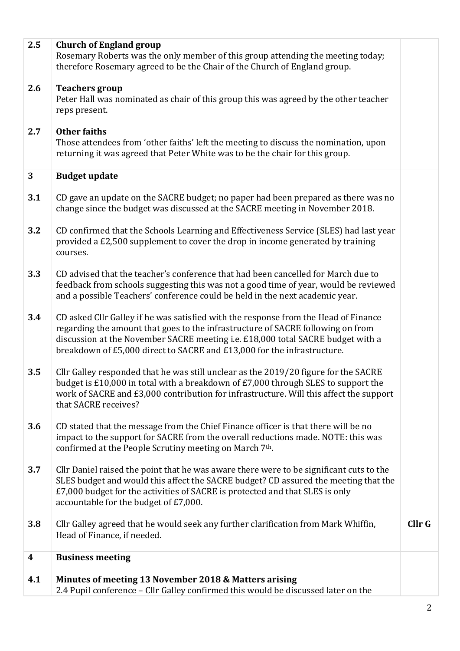|     | £7,000 budget for the activities of SACRE is protected and that SLES is only<br>accountable for the budget of £7,000.                                                                                                                                                                                                                |  |
|-----|--------------------------------------------------------------------------------------------------------------------------------------------------------------------------------------------------------------------------------------------------------------------------------------------------------------------------------------|--|
| 3.7 | Cllr Daniel raised the point that he was aware there were to be significant cuts to the<br>SLES budget and would this affect the SACRE budget? CD assured the meeting that the                                                                                                                                                       |  |
| 3.6 | CD stated that the message from the Chief Finance officer is that there will be no<br>impact to the support for SACRE from the overall reductions made. NOTE: this was<br>confirmed at the People Scrutiny meeting on March 7th.                                                                                                     |  |
| 3.5 | Cllr Galley responded that he was still unclear as the 2019/20 figure for the SACRE<br>budget is £10,000 in total with a breakdown of £7,000 through SLES to support the<br>work of SACRE and £3,000 contribution for infrastructure. Will this affect the support<br>that SACRE receives?                                           |  |
| 3.4 | CD asked Cllr Galley if he was satisfied with the response from the Head of Finance<br>regarding the amount that goes to the infrastructure of SACRE following on from<br>discussion at the November SACRE meeting i.e. £18,000 total SACRE budget with a<br>breakdown of £5,000 direct to SACRE and £13,000 for the infrastructure. |  |
| 3.3 | CD advised that the teacher's conference that had been cancelled for March due to<br>feedback from schools suggesting this was not a good time of year, would be reviewed<br>and a possible Teachers' conference could be held in the next academic year.                                                                            |  |
| 3.2 | CD confirmed that the Schools Learning and Effectiveness Service (SLES) had last year<br>provided a £2,500 supplement to cover the drop in income generated by training<br>courses.                                                                                                                                                  |  |
| 3.1 | CD gave an update on the SACRE budget; no paper had been prepared as there was no<br>change since the budget was discussed at the SACRE meeting in November 2018.                                                                                                                                                                    |  |
| 3   | <b>Budget update</b>                                                                                                                                                                                                                                                                                                                 |  |
| 2.7 | <b>Other faiths</b><br>Those attendees from 'other faiths' left the meeting to discuss the nomination, upon<br>returning it was agreed that Peter White was to be the chair for this group.                                                                                                                                          |  |
| 2.6 | <b>Teachers group</b><br>Peter Hall was nominated as chair of this group this was agreed by the other teacher<br>reps present.                                                                                                                                                                                                       |  |
|     | <b>Church of England group</b><br>Rosemary Roberts was the only member of this group attending the meeting today;<br>therefore Rosemary agreed to be the Chair of the Church of England group.                                                                                                                                       |  |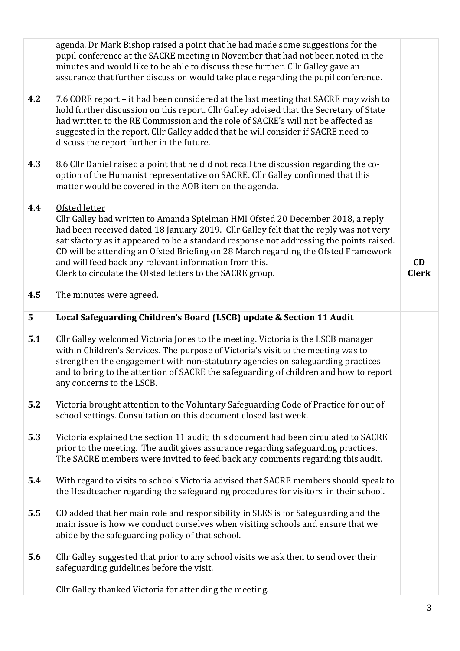|     | agenda. Dr Mark Bishop raised a point that he had made some suggestions for the<br>pupil conference at the SACRE meeting in November that had not been noted in the<br>minutes and would like to be able to discuss these further. Cllr Galley gave an<br>assurance that further discussion would take place regarding the pupil conference.                                                                                                                                                      |                    |
|-----|---------------------------------------------------------------------------------------------------------------------------------------------------------------------------------------------------------------------------------------------------------------------------------------------------------------------------------------------------------------------------------------------------------------------------------------------------------------------------------------------------|--------------------|
| 4.2 | 7.6 CORE report – it had been considered at the last meeting that SACRE may wish to<br>hold further discussion on this report. Cllr Galley advised that the Secretary of State<br>had written to the RE Commission and the role of SACRE's will not be affected as<br>suggested in the report. Cllr Galley added that he will consider if SACRE need to<br>discuss the report further in the future.                                                                                              |                    |
| 4.3 | 8.6 Cllr Daniel raised a point that he did not recall the discussion regarding the co-<br>option of the Humanist representative on SACRE. Cllr Galley confirmed that this<br>matter would be covered in the AOB item on the agenda.                                                                                                                                                                                                                                                               |                    |
| 4.4 | Ofsted letter<br>Cllr Galley had written to Amanda Spielman HMI Ofsted 20 December 2018, a reply<br>had been received dated 18 January 2019. Cllr Galley felt that the reply was not very<br>satisfactory as it appeared to be a standard response not addressing the points raised.<br>CD will be attending an Ofsted Briefing on 28 March regarding the Ofsted Framework<br>and will feed back any relevant information from this.<br>Clerk to circulate the Ofsted letters to the SACRE group. | CD<br><b>Clerk</b> |
| 4.5 | The minutes were agreed.                                                                                                                                                                                                                                                                                                                                                                                                                                                                          |                    |
| 5   | Local Safeguarding Children's Board (LSCB) update & Section 11 Audit                                                                                                                                                                                                                                                                                                                                                                                                                              |                    |
| 5.1 | Cllr Galley welcomed Victoria Jones to the meeting. Victoria is the LSCB manager<br>within Children's Services. The purpose of Victoria's visit to the meeting was to<br>strengthen the engagement with non-statutory agencies on safeguarding practices<br>and to bring to the attention of SACRE the safeguarding of children and how to report<br>any concerns to the LSCB.                                                                                                                    |                    |
| 5.2 | Victoria brought attention to the Voluntary Safeguarding Code of Practice for out of<br>school settings. Consultation on this document closed last week.                                                                                                                                                                                                                                                                                                                                          |                    |
| 5.3 | Victoria explained the section 11 audit; this document had been circulated to SACRE<br>prior to the meeting. The audit gives assurance regarding safeguarding practices.<br>The SACRE members were invited to feed back any comments regarding this audit.                                                                                                                                                                                                                                        |                    |
| 5.4 | With regard to visits to schools Victoria advised that SACRE members should speak to<br>the Headteacher regarding the safeguarding procedures for visitors in their school.                                                                                                                                                                                                                                                                                                                       |                    |
| 5.5 | CD added that her main role and responsibility in SLES is for Safeguarding and the<br>main issue is how we conduct ourselves when visiting schools and ensure that we<br>abide by the safeguarding policy of that school.                                                                                                                                                                                                                                                                         |                    |
| 5.6 | Cllr Galley suggested that prior to any school visits we ask then to send over their<br>safeguarding guidelines before the visit.                                                                                                                                                                                                                                                                                                                                                                 |                    |
|     | Cllr Galley thanked Victoria for attending the meeting.                                                                                                                                                                                                                                                                                                                                                                                                                                           |                    |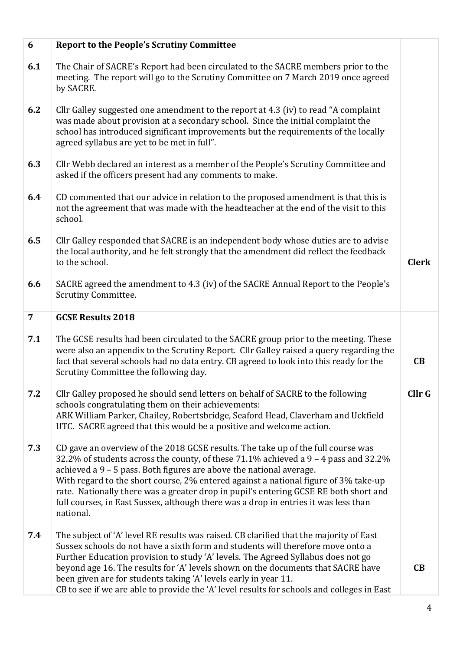| 6              | <b>Report to the People's Scrutiny Committee</b>                                                                                                                                                                                                                                                                                                                                                                                                                                                                                  |              |
|----------------|-----------------------------------------------------------------------------------------------------------------------------------------------------------------------------------------------------------------------------------------------------------------------------------------------------------------------------------------------------------------------------------------------------------------------------------------------------------------------------------------------------------------------------------|--------------|
| 6.1            | The Chair of SACRE's Report had been circulated to the SACRE members prior to the<br>meeting. The report will go to the Scrutiny Committee on 7 March 2019 once agreed<br>by SACRE.                                                                                                                                                                                                                                                                                                                                               |              |
| 6.2            | Cllr Galley suggested one amendment to the report at 4.3 (iv) to read "A complaint<br>was made about provision at a secondary school. Since the initial complaint the<br>school has introduced significant improvements but the requirements of the locally<br>agreed syllabus are yet to be met in full".                                                                                                                                                                                                                        |              |
| 6.3            | Cllr Webb declared an interest as a member of the People's Scrutiny Committee and<br>asked if the officers present had any comments to make.                                                                                                                                                                                                                                                                                                                                                                                      |              |
| 6.4            | CD commented that our advice in relation to the proposed amendment is that this is<br>not the agreement that was made with the headteacher at the end of the visit to this<br>school.                                                                                                                                                                                                                                                                                                                                             |              |
| 6.5            | Cllr Galley responded that SACRE is an independent body whose duties are to advise<br>the local authority, and he felt strongly that the amendment did reflect the feedback<br>to the school.                                                                                                                                                                                                                                                                                                                                     | <b>Clerk</b> |
| 6.6            | SACRE agreed the amendment to 4.3 (iv) of the SACRE Annual Report to the People's<br><b>Scrutiny Committee.</b>                                                                                                                                                                                                                                                                                                                                                                                                                   |              |
| $\overline{7}$ | <b>GCSE Results 2018</b>                                                                                                                                                                                                                                                                                                                                                                                                                                                                                                          |              |
| 7.1            | The GCSE results had been circulated to the SACRE group prior to the meeting. These<br>were also an appendix to the Scrutiny Report. Cllr Galley raised a query regarding the<br>fact that several schools had no data entry. CB agreed to look into this ready for the<br>Scrutiny Committee the following day.                                                                                                                                                                                                                  | CB           |
| 7.2            | Cllr Galley proposed he should send letters on behalf of SACRE to the following<br>schools congratulating them on their achievements:<br>ARK William Parker, Chailey, Robertsbridge, Seaford Head, Claverham and Uckfield<br>UTC. SACRE agreed that this would be a positive and welcome action.                                                                                                                                                                                                                                  | Cllr G       |
| 7.3            | CD gave an overview of the 2018 GCSE results. The take up of the full course was<br>32.2% of students across the county, of these 71.1% achieved a 9 - 4 pass and 32.2%<br>achieved a 9 - 5 pass. Both figures are above the national average.<br>With regard to the short course, 2% entered against a national figure of 3% take-up<br>rate. Nationally there was a greater drop in pupil's entering GCSE RE both short and<br>full courses, in East Sussex, although there was a drop in entries it was less than<br>national. |              |
| 7.4            | The subject of 'A' level RE results was raised. CB clarified that the majority of East<br>Sussex schools do not have a sixth form and students will therefore move onto a<br>Further Education provision to study 'A' levels. The Agreed Syllabus does not go<br>beyond age 16. The results for 'A' levels shown on the documents that SACRE have<br>been given are for students taking 'A' levels early in year 11.<br>CB to see if we are able to provide the 'A' level results for schools and colleges in East                | CB           |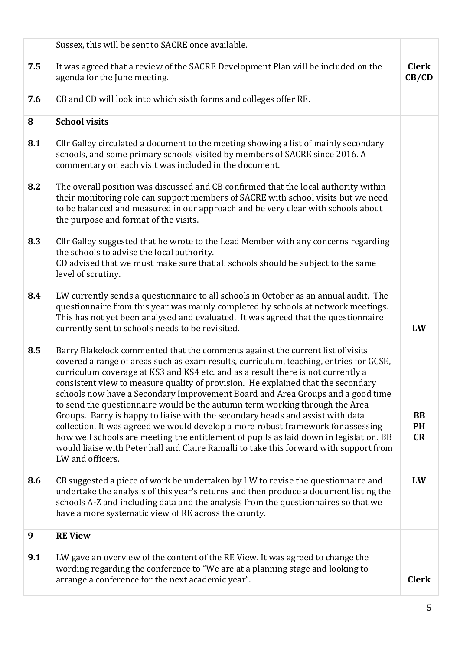|     | Sussex, this will be sent to SACRE once available.                                                                                                                                                                                                                                                                                                                                                                                                                                                                                                                                                                                                                                                                                                                                                                                                                                              |                              |
|-----|-------------------------------------------------------------------------------------------------------------------------------------------------------------------------------------------------------------------------------------------------------------------------------------------------------------------------------------------------------------------------------------------------------------------------------------------------------------------------------------------------------------------------------------------------------------------------------------------------------------------------------------------------------------------------------------------------------------------------------------------------------------------------------------------------------------------------------------------------------------------------------------------------|------------------------------|
| 7.5 | It was agreed that a review of the SACRE Development Plan will be included on the<br>agenda for the June meeting.                                                                                                                                                                                                                                                                                                                                                                                                                                                                                                                                                                                                                                                                                                                                                                               | <b>Clerk</b><br>CB/CD        |
| 7.6 | CB and CD will look into which sixth forms and colleges offer RE.                                                                                                                                                                                                                                                                                                                                                                                                                                                                                                                                                                                                                                                                                                                                                                                                                               |                              |
| 8   | <b>School visits</b>                                                                                                                                                                                                                                                                                                                                                                                                                                                                                                                                                                                                                                                                                                                                                                                                                                                                            |                              |
| 8.1 | Cllr Galley circulated a document to the meeting showing a list of mainly secondary<br>schools, and some primary schools visited by members of SACRE since 2016. A<br>commentary on each visit was included in the document.                                                                                                                                                                                                                                                                                                                                                                                                                                                                                                                                                                                                                                                                    |                              |
| 8.2 | The overall position was discussed and CB confirmed that the local authority within<br>their monitoring role can support members of SACRE with school visits but we need<br>to be balanced and measured in our approach and be very clear with schools about<br>the purpose and format of the visits.                                                                                                                                                                                                                                                                                                                                                                                                                                                                                                                                                                                           |                              |
| 8.3 | Cllr Galley suggested that he wrote to the Lead Member with any concerns regarding<br>the schools to advise the local authority.<br>CD advised that we must make sure that all schools should be subject to the same<br>level of scrutiny.                                                                                                                                                                                                                                                                                                                                                                                                                                                                                                                                                                                                                                                      |                              |
| 8.4 | LW currently sends a questionnaire to all schools in October as an annual audit. The<br>questionnaire from this year was mainly completed by schools at network meetings.<br>This has not yet been analysed and evaluated. It was agreed that the questionnaire<br>currently sent to schools needs to be revisited.                                                                                                                                                                                                                                                                                                                                                                                                                                                                                                                                                                             | LW                           |
| 8.5 | Barry Blakelock commented that the comments against the current list of visits<br>covered a range of areas such as exam results, curriculum, teaching, entries for GCSE,<br>curriculum coverage at KS3 and KS4 etc. and as a result there is not currently a<br>consistent view to measure quality of provision. He explained that the secondary<br>schools now have a Secondary Improvement Board and Area Groups and a good time<br>to send the questionnaire would be the autumn term working through the Area<br>Groups. Barry is happy to liaise with the secondary heads and assist with data<br>collection. It was agreed we would develop a more robust framework for assessing<br>how well schools are meeting the entitlement of pupils as laid down in legislation. BB<br>would liaise with Peter hall and Claire Ramalli to take this forward with support from<br>LW and officers. | <b>BB</b><br><b>PH</b><br>CR |
| 8.6 | CB suggested a piece of work be undertaken by LW to revise the questionnaire and<br>undertake the analysis of this year's returns and then produce a document listing the<br>schools A-Z and including data and the analysis from the questionnaires so that we<br>have a more systematic view of RE across the county.                                                                                                                                                                                                                                                                                                                                                                                                                                                                                                                                                                         | LW                           |
| 9   | <b>RE View</b>                                                                                                                                                                                                                                                                                                                                                                                                                                                                                                                                                                                                                                                                                                                                                                                                                                                                                  |                              |
| 9.1 | LW gave an overview of the content of the RE View. It was agreed to change the<br>wording regarding the conference to "We are at a planning stage and looking to<br>arrange a conference for the next academic year".                                                                                                                                                                                                                                                                                                                                                                                                                                                                                                                                                                                                                                                                           | <b>Clerk</b>                 |